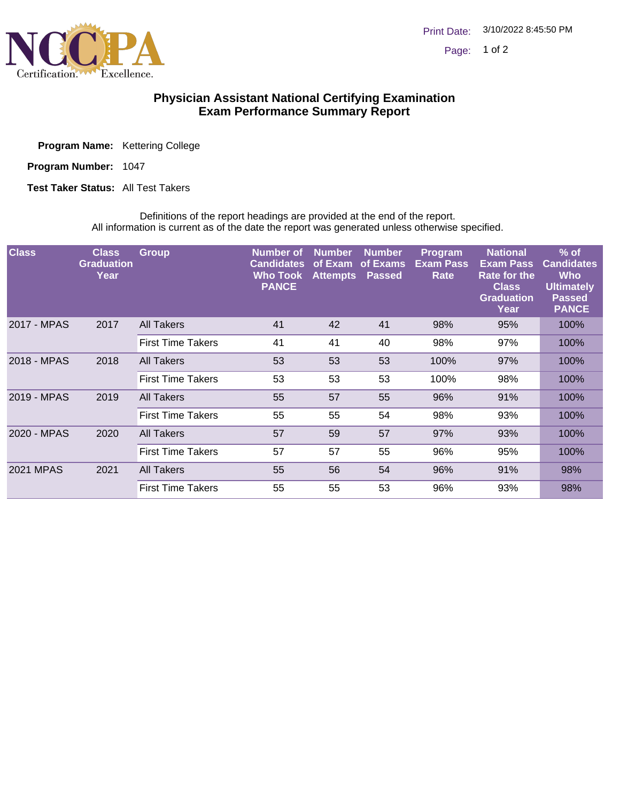

## **Physician Assistant National Certifying Examination Exam Performance Summary Report**

Program Name: Kettering College

Program Number: 1047

**Test Taker Status: All Test Takers** 

Definitions of the report headings are provided at the end of the report. All information is current as of the date the report was generated unless otherwise specified.

| <b>Class</b>     | <b>Class</b><br><b>Graduation</b><br>Year | <b>Group</b>             | Number of<br><b>Candidates</b><br><b>Who Took</b><br><b>PANCE</b> | <b>Number</b><br>of Exam<br><b>Attempts</b> | <b>Number</b><br>of Exams<br><b>Passed</b> | Program<br><b>Exam Pass</b><br>Rate | <b>National</b><br><b>Exam Pass</b><br>Rate for the<br><b>Class</b><br><b>Graduation</b><br>Year | $%$ of<br><b>Candidates</b><br><b>Who</b><br><b>Ultimately</b><br><b>Passed</b><br><b>PANCE</b> |
|------------------|-------------------------------------------|--------------------------|-------------------------------------------------------------------|---------------------------------------------|--------------------------------------------|-------------------------------------|--------------------------------------------------------------------------------------------------|-------------------------------------------------------------------------------------------------|
| 2017 - MPAS      | 2017                                      | <b>All Takers</b>        | 41                                                                | 42                                          | 41                                         | 98%                                 | 95%                                                                                              | 100%                                                                                            |
|                  |                                           | <b>First Time Takers</b> | 41                                                                | 41                                          | 40                                         | 98%                                 | 97%                                                                                              | 100%                                                                                            |
| 2018 - MPAS      | 2018                                      | <b>All Takers</b>        | 53                                                                | 53                                          | 53                                         | 100%                                | 97%                                                                                              | 100%                                                                                            |
|                  |                                           | <b>First Time Takers</b> | 53                                                                | 53                                          | 53                                         | 100%                                | 98%                                                                                              | 100%                                                                                            |
| 2019 - MPAS      | 2019                                      | All Takers               | 55                                                                | 57                                          | 55                                         | 96%                                 | 91%                                                                                              | 100%                                                                                            |
|                  |                                           | <b>First Time Takers</b> | 55                                                                | 55                                          | 54                                         | 98%                                 | 93%                                                                                              | 100%                                                                                            |
| 2020 - MPAS      | 2020                                      | <b>All Takers</b>        | 57                                                                | 59                                          | 57                                         | 97%                                 | 93%                                                                                              | 100%                                                                                            |
|                  |                                           | <b>First Time Takers</b> | 57                                                                | 57                                          | 55                                         | 96%                                 | 95%                                                                                              | 100%                                                                                            |
| <b>2021 MPAS</b> | 2021                                      | <b>All Takers</b>        | 55                                                                | 56                                          | 54                                         | 96%                                 | 91%                                                                                              | 98%                                                                                             |
|                  |                                           | <b>First Time Takers</b> | 55                                                                | 55                                          | 53                                         | 96%                                 | 93%                                                                                              | 98%                                                                                             |